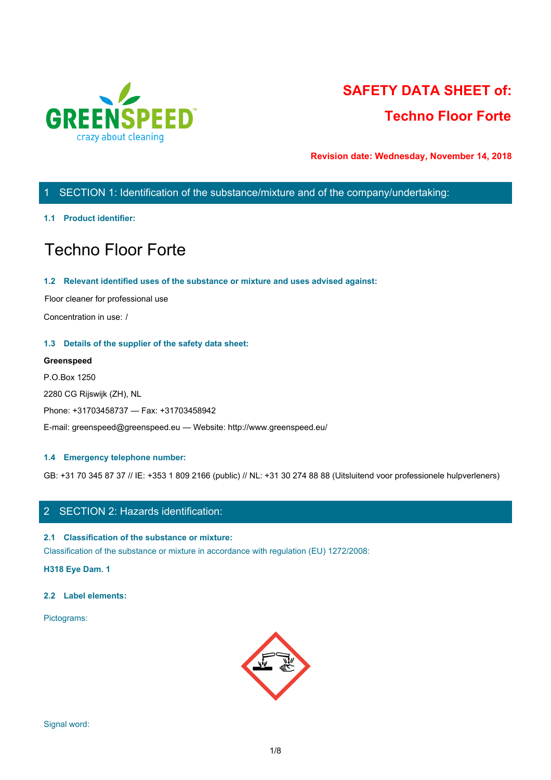

# **SAFETY DATA SHEET of: Techno Floor Forte**

**Revision date: Wednesday, November 14, 2018**

# 1 SECTION 1: Identification of the substance/mixture and of the company/undertaking:

#### **1.1 Product identifier:**

# Techno Floor Forte

#### **1.2 Relevant identified uses of the substance or mixture and uses advised against:**

Floor cleaner for professional use

Concentration in use: /

#### **1.3 Details of the supplier of the safety data sheet:**

#### **Greenspeed**

P.O.Box 1250 2280 CG Rijswijk (ZH), NL Phone: +31703458737 — Fax: +31703458942 E-mail: greenspeed@greenspeed.eu — Website: http://www.greenspeed.eu/

#### **1.4 Emergency telephone number:**

GB: +31 70 345 87 37 // IE: +353 1 809 2166 (public) // NL: +31 30 274 88 88 (Uitsluitend voor professionele hulpverleners)

# 2 SECTION 2: Hazards identification:

#### **2.1 Classification of the substance or mixture:**

Classification of the substance or mixture in accordance with regulation (EU) 1272/2008:

**H318 Eye Dam. 1**

#### **2.2 Label elements:**

Pictograms:

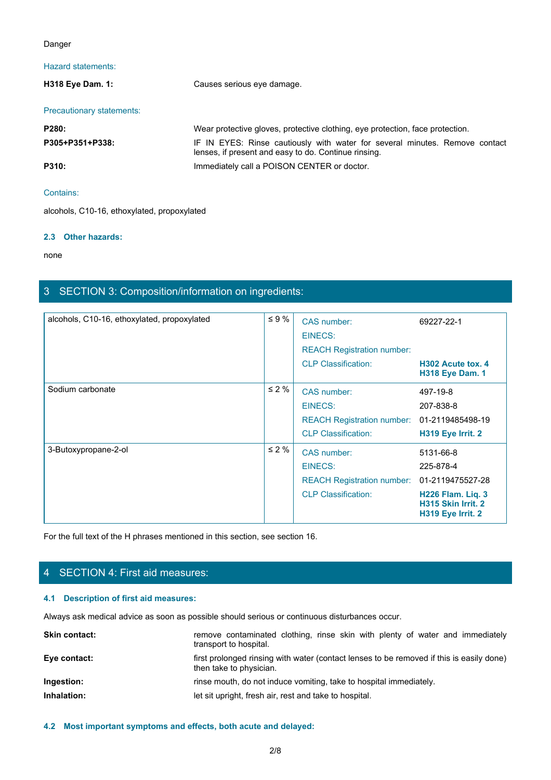#### Danger

# Hazard statements:

| Danger                                   |                                                                                                                                     |
|------------------------------------------|-------------------------------------------------------------------------------------------------------------------------------------|
| Hazard statements:                       |                                                                                                                                     |
| H318 Eye Dam. 1:                         | Causes serious eye damage.                                                                                                          |
| Precautionary statements:                |                                                                                                                                     |
| P280:                                    | Wear protective gloves, protective clothing, eye protection, face protection.                                                       |
| P305+P351+P338:                          | IF IN EYES: Rinse cautiously with water for several minutes. Remove contact<br>lenses, if present and easy to do. Continue rinsing. |
| P310:                                    | Immediately call a POISON CENTER or doctor.                                                                                         |
| Contains:                                |                                                                                                                                     |
| alcohols C10-16 ethoxylated propoxylated |                                                                                                                                     |

#### Contains:

alcohols, C10-16, ethoxylated, propoxylated

#### **2.3 Other hazards:**

none and the state of the state of the state of the state of the state of the state of the state of the state of the state of the state of the state of the state of the state of the state of the state of the state of the s

# 3 SECTION 3: Composition/information on ingredients:

| alcohols, C10-16, ethoxylated, propoxylated | $\leq 9 \%$                                                                                                         | CAS number:                                                                   | 69227-22-1                                                   |  |
|---------------------------------------------|---------------------------------------------------------------------------------------------------------------------|-------------------------------------------------------------------------------|--------------------------------------------------------------|--|
|                                             |                                                                                                                     | <b>EINECS:</b>                                                                |                                                              |  |
|                                             |                                                                                                                     | <b>REACH Registration number:</b>                                             |                                                              |  |
|                                             |                                                                                                                     | <b>CLP Classification:</b>                                                    | H302 Acute tox. 4<br><b>H318 Eye Dam. 1</b>                  |  |
| Sodium carbonate                            | $\leq 2 \%$                                                                                                         | CAS number:                                                                   | 497-19-8                                                     |  |
|                                             |                                                                                                                     | <b>EINECS:</b>                                                                | 207-838-8                                                    |  |
|                                             |                                                                                                                     | REACH Registration number: 01-2119485498-19                                   |                                                              |  |
|                                             |                                                                                                                     | <b>CLP Classification:</b>                                                    | H319 Eye Irrit. 2                                            |  |
| 3-Butoxypropane-2-ol                        | $\leq 2 \%$                                                                                                         | CAS number:                                                                   | 5131-66-8                                                    |  |
|                                             |                                                                                                                     | <b>EINECS:</b>                                                                | 225-878-4                                                    |  |
|                                             |                                                                                                                     | <b>REACH Registration number:</b>                                             | 01-2119475527-28                                             |  |
|                                             |                                                                                                                     | <b>CLP Classification:</b>                                                    | H226 Flam. Liq. 3<br>H315 Skin Irrit. 2<br>H319 Eye Irrit. 2 |  |
|                                             | For the full text of the H phrases mentioned in this section, see section 16.                                       |                                                                               |                                                              |  |
|                                             |                                                                                                                     |                                                                               |                                                              |  |
| 4 SECTION 4: First aid measures:            |                                                                                                                     |                                                                               |                                                              |  |
| 4.1 Description of first aid measures:      |                                                                                                                     |                                                                               |                                                              |  |
|                                             | Always ask medical advice as soon as possible should serious or continuous disturbances occur.                      |                                                                               |                                                              |  |
| Skin contact:                               | transport to hospital.                                                                                              | remove contaminated clothing, rinse skin with plenty of water and immediately |                                                              |  |
| Eye contact:                                | first prolonged rinsing with water (contact lenses to be removed if this is easily done)<br>then take to physician. |                                                                               |                                                              |  |
| Ingestion:                                  |                                                                                                                     | rinse mouth, do not induce vomiting, take to hospital immediately.            |                                                              |  |
| Inhalation:                                 | let sit upright, fresh air, rest and take to hospital.                                                              |                                                                               |                                                              |  |
|                                             |                                                                                                                     |                                                                               |                                                              |  |

# 4 SECTION 4: First aid measures:

#### **4.1 Description of first aid measures:**

| first prolonged rinsing with water (contact lenses to be removed if this is easily done)<br>Eye contact:<br>then take to physician.<br>rinse mouth, do not induce vomiting, take to hospital immediately.<br>Ingestion:<br>Inhalation:<br>let sit upright, fresh air, rest and take to hospital. | <b>Skin contact:</b> | remove contaminated clothing, rinse skin with plenty of water and immediately<br>transport to hospital. |
|--------------------------------------------------------------------------------------------------------------------------------------------------------------------------------------------------------------------------------------------------------------------------------------------------|----------------------|---------------------------------------------------------------------------------------------------------|
|                                                                                                                                                                                                                                                                                                  |                      |                                                                                                         |
|                                                                                                                                                                                                                                                                                                  |                      |                                                                                                         |
|                                                                                                                                                                                                                                                                                                  |                      |                                                                                                         |

#### **4.2 Most important symptoms and effects, both acute and delayed:**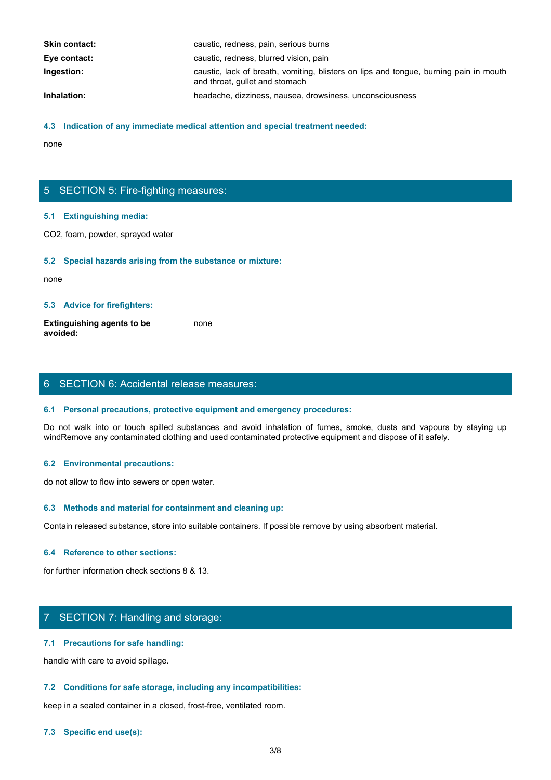| <b>Skin contact:</b> | caustic, redness, pain, serious burns                                                                                   |
|----------------------|-------------------------------------------------------------------------------------------------------------------------|
| Eye contact:         | caustic, redness, blurred vision, pain                                                                                  |
| Ingestion:           | caustic, lack of breath, vomiting, blisters on lips and tongue, burning pain in mouth<br>and throat, gullet and stomach |
| Inhalation:          | headache, dizziness, nausea, drowsiness, unconsciousness                                                                |

#### **4.3 Indication of any immediate medical attention and special treatment needed:**

none and the state of the state of the state of the state of the state of the state of the state of the state of the state of the state of the state of the state of the state of the state of the state of the state of the s

# 5 SECTION 5: Fire-fighting measures:

#### **5.1 Extinguishing media:**

CO2, foam, powder, sprayed water

#### **5.2 Special hazards arising from the substance or mixture:**

none and the state of the state of the state of the state of the state of the state of the state of the state of the state of the state of the state of the state of the state of the state of the state of the state of the s

#### **5.3 Advice for firefighters:**

**Extinguishing agents to be avoided:** none and the state of the state of the state of the state of the state of the state of the state of the state of the state of the state of the state of the state of the state of the state of the state of the state of the s

# 6 SECTION 6: Accidental release measures:

#### **6.1 Personal precautions, protective equipment and emergency procedures:**

Donce<br>
S. S. Extinguishing media:<br>
CO2, foam, powder, sprayed water<br>
S. S. Special hazards arising from the substance or mixture:<br>
Extinguishing agents to be<br>
worlded:<br>
S. Advice for firefighters:<br>
S. Personal precautions, windRemove any contaminated clothing and used contaminated protective equipment and dispose of it safely.

#### **6.2 Environmental precautions:**

do not allow to flow into sewers or open water.

#### **6.3 Methods and material for containment and cleaning up:**

Contain released substance, store into suitable containers. If possible remove by using absorbent material.

#### **6.4 Reference to other sections:**

for further information check sections 8 & 13.

# 7 SECTION 7: Handling and storage:

#### **7.1 Precautions for safe handling:**

handle with care to avoid spillage.

#### **7.2 Conditions for safe storage, including any incompatibilities:**

keep in a sealed container in a closed, frost-free, ventilated room.

#### **7.3 Specific end use(s):**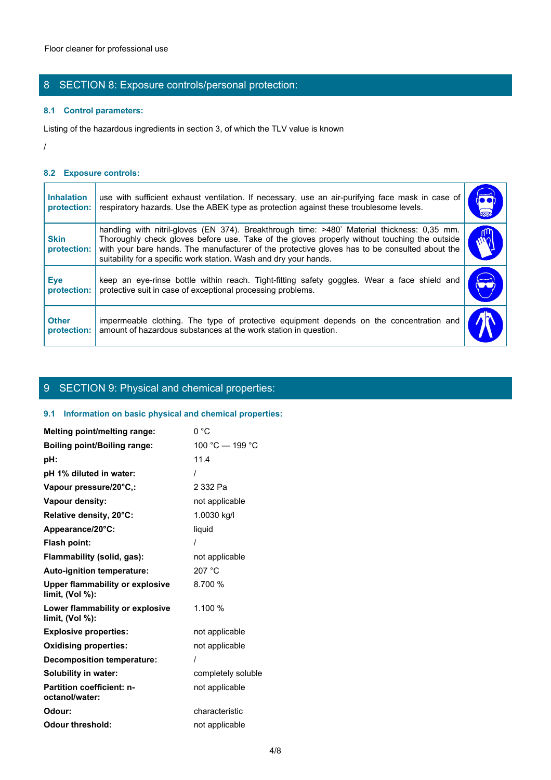# 8 SECTION 8: Exposure controls/personal protection:

#### **8.1 Control parameters:**

#### **8.2 Exposure controls:**

|                                  | Floor cleaner for professional use                                                                                                                                                                                                                                                                                                                                |                      |
|----------------------------------|-------------------------------------------------------------------------------------------------------------------------------------------------------------------------------------------------------------------------------------------------------------------------------------------------------------------------------------------------------------------|----------------------|
|                                  | 8 SECTION 8: Exposure controls/personal protection:                                                                                                                                                                                                                                                                                                               |                      |
| 8.1 Control parameters:          |                                                                                                                                                                                                                                                                                                                                                                   |                      |
|                                  | Listing of the hazardous ingredients in section 3, of which the TLV value is known                                                                                                                                                                                                                                                                                |                      |
|                                  |                                                                                                                                                                                                                                                                                                                                                                   |                      |
| 8.2 Exposure controls:           |                                                                                                                                                                                                                                                                                                                                                                   |                      |
| <b>Inhalation</b><br>protection: | use with sufficient exhaust ventilation. If necessary, use an air-purifying face mask in case of<br>respiratory hazards. Use the ABEK type as protection against these troublesome levels.                                                                                                                                                                        | $\overline{\bullet}$ |
| <b>Skin</b><br>protection:       | handling with nitril-gloves (EN 374). Breakthrough time: >480' Material thickness: 0,35 mm.<br>Thoroughly check gloves before use. Take of the gloves properly without touching the outside<br>with your bare hands. The manufacturer of the protective gloves has to be consulted about the<br>suitability for a specific work station. Wash and dry your hands. | $\tilde{w}$          |
| <b>Eye</b><br>protection:        | keep an eye-rinse bottle within reach. Tight-fitting safety goggles. Wear a face shield and<br>protective suit in case of exceptional processing problems.                                                                                                                                                                                                        |                      |
| <b>Other</b><br>protection:      | impermeable clothing. The type of protective equipment depends on the concentration and<br>amount of hazardous substances at the work station in question.                                                                                                                                                                                                        |                      |

# 9 SECTION 9: Physical and chemical properties:

### **9.1 Information on basic physical and chemical properties:**

| Melting point/melting range:                              | 0 °C               |
|-----------------------------------------------------------|--------------------|
| <b>Boiling point/Boiling range:</b>                       | 100 °C $-$ 199 °C  |
| pH:                                                       | 11.4               |
| pH 1% diluted in water:                                   |                    |
| Vapour pressure/20°C,:                                    | 2 332 Pa           |
| Vapour density:                                           | not applicable     |
| Relative density, 20°C:                                   | 1.0030 kg/l        |
| Appearance/20°C:                                          | liquid             |
| <b>Flash point:</b>                                       |                    |
| Flammability (solid, gas):                                | not applicable     |
| Auto-ignition temperature:                                | 207 °C             |
| <b>Upper flammability or explosive</b><br>limit, (Vol %): | 8.700 %            |
| Lower flammability or explosive<br>limit, $(Vol %)$ :     | 1.100 %            |
| <b>Explosive properties:</b>                              | not applicable     |
| <b>Oxidising properties:</b>                              | not applicable     |
| <b>Decomposition temperature:</b>                         |                    |
| Solubility in water:                                      | completely soluble |
| <b>Partition coefficient: n-</b><br>octanol/water:        | not applicable     |
| Odour:                                                    | characteristic     |
| <b>Odour threshold:</b>                                   | not applicable     |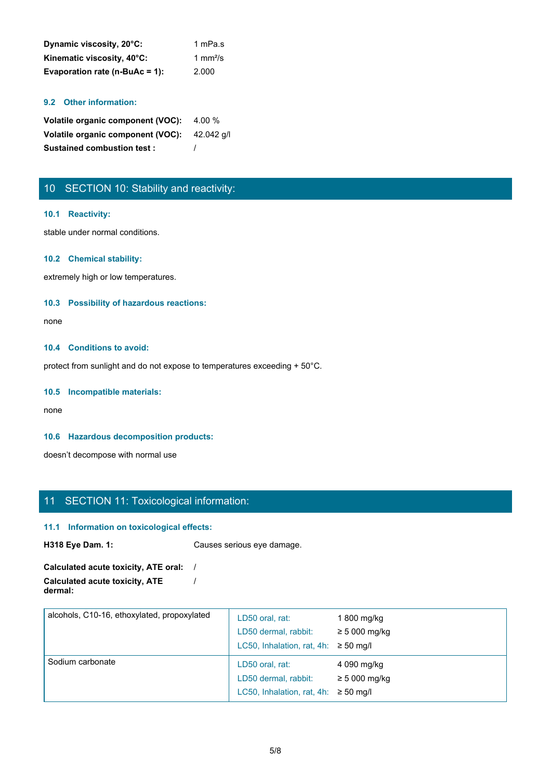| Dynamic viscosity, 20°C:       | 1 mPa.s |
|--------------------------------|---------|
| Kinematic viscosity, 40°C:     | 1 mm²/s |
| Evaporation rate (n-BuAc = 1): | 2.000   |

#### **9.2 Other information:**

| Volatile organic component (VOC): 4.00 %     |  |
|----------------------------------------------|--|
| Volatile organic component (VOC): 42.042 g/l |  |
| <b>Sustained combustion test:</b>            |  |

# 10 SECTION 10: Stability and reactivity:

#### **10.1 Reactivity:**

stable under normal conditions.

#### **10.2 Chemical stability:**

extremely high or low temperatures.

#### **10.3 Possibility of hazardous reactions:**

none and the state of the state of the state of the state of the state of the state of the state of the state of the state of the state of the state of the state of the state of the state of the state of the state of the s

#### **10.4 Conditions to avoid:**

protect from sunlight and do not expose to temperatures exceeding + 50°C.

#### **10.5 Incompatible materials:**

none and the state of the state of the state of the state of the state of the state of the state of the state of the state of the state of the state of the state of the state of the state of the state of the state of the s

#### **10.6 Hazardous decomposition products:**

doesn't decompose with normal use

# 11 SECTION 11: Toxicological information:

#### **11.1 Information on toxicological effects:**

**H318 Eye Dam. 1:** Causes serious eye damage.

**Calculated acute toxicity, ATE oral:** / **Calculated acute toxicity, ATE dermal:** /

| alcohols, C10-16, ethoxylated, propoxylated | LD50 oral, rat:<br>LD50 dermal, rabbit:<br>LC50, Inhalation, rat, 4h: $\geq$ 50 mg/l | 1 800 mg/kg<br>$\geq$ 5 000 mg/kg |  |
|---------------------------------------------|--------------------------------------------------------------------------------------|-----------------------------------|--|
| Sodium carbonate                            | LD50 oral, rat:<br>LD50 dermal, rabbit:<br>LC50, Inhalation, rat, 4h: $\geq$ 50 mg/l | 4 090 mg/kg<br>$\geq$ 5 000 mg/kg |  |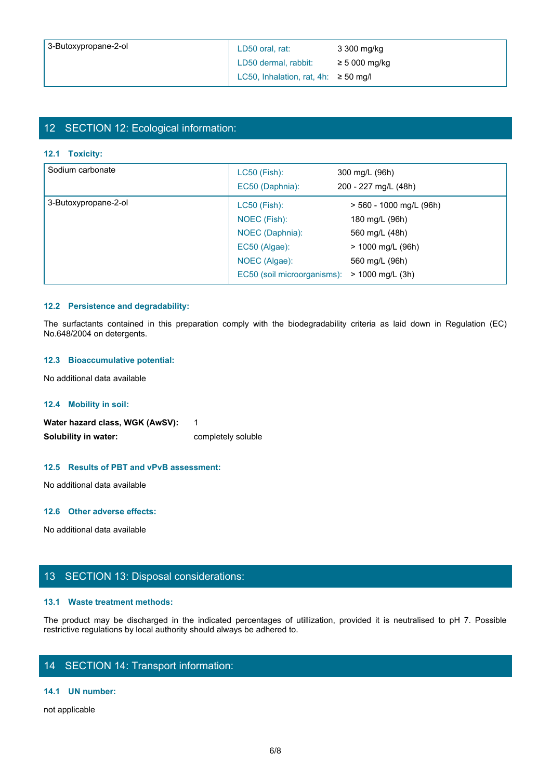| 3-Butoxypropane-2-ol | LD50 oral, rat:                           | 3 300 mg/kg       |
|----------------------|-------------------------------------------|-------------------|
|                      | LD50 dermal, rabbit:                      | $\geq 5000$ mg/kg |
|                      | LC50, Inhalation, rat, 4h: $\geq$ 50 mg/l |                   |

# 12 SECTION 12: Ecological information:

#### **12.1 Toxicity:**

|                                        | LD50 oral, rat:                           | 3 300 mg/kg             |
|----------------------------------------|-------------------------------------------|-------------------------|
|                                        | LD50 dermal, rabbit:                      | $\geq 5000$ mg/kg       |
|                                        | LC50, Inhalation, rat, 4h: $\geq$ 50 mg/l |                         |
|                                        |                                           |                         |
|                                        |                                           |                         |
| 12 SECTION 12: Ecological information: |                                           |                         |
|                                        |                                           |                         |
| 12.1 Toxicity:                         |                                           |                         |
| Sodium carbonate                       | LC50 (Fish):                              | 300 mg/L (96h)          |
|                                        | EC50 (Daphnia):                           | 200 - 227 mg/L (48h)    |
| 3-Butoxypropane-2-ol                   | <b>LC50 (Fish):</b>                       | > 560 - 1000 mg/L (96h) |
|                                        | NOEC (Fish):                              | 180 mg/L (96h)          |
|                                        | NOEC (Daphnia):                           | 560 mg/L (48h)          |
|                                        | EC50 (Algae):                             | > 1000 mg/L (96h)       |
|                                        | NOEC (Algae):                             | 560 mg/L (96h)          |
|                                        | EC50 (soil microorganisms):               | > 1000 mg/L (3h)        |

#### **12.2 Persistence and degradability:**

#### **12.3 Bioaccumulative potential:**

#### **12.4 Mobility in soil:**

Water hazard class, WGK (AwSV): 1 **Solubility in water:** completely soluble

#### **12.5 Results of PBT and vPvB assessment:**

No additional data available

#### **12.6 Other adverse effects:**

No additional data available

# 13 SECTION 13: Disposal considerations:

#### **13.1 Waste treatment methods:**

The product may be discharged in the indicated percentages of utilization of the indicated be discharged in the indicated percentages of utilization of the indicated percentages of utilization, provided it is neutralised t restrictive regulations by local authority should always be adhered to.

# 14 SECTION 14: Transport information:

#### **14.1 UN number:**

not applicable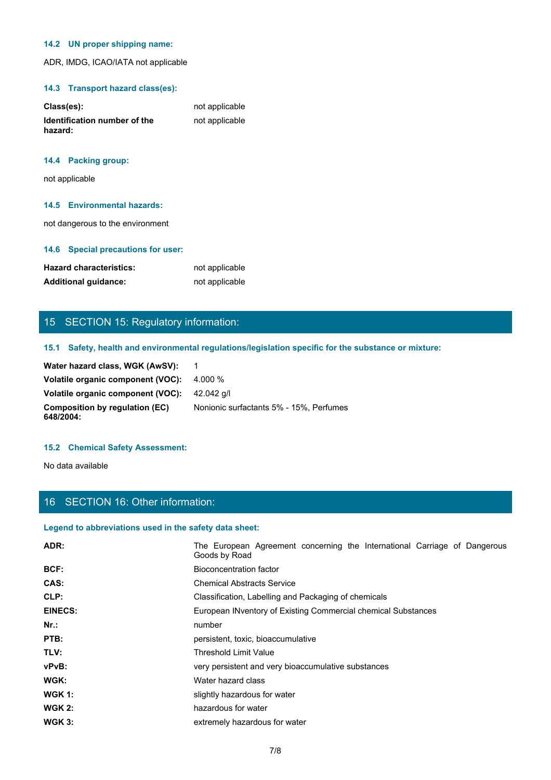#### **14.2 UN proper shipping name:**

ADR, IMDG, ICAO/IATA not applicable

#### **14.3 Transport hazard class(es):**

| Class(es):                              | not applicable |
|-----------------------------------------|----------------|
| Identification number of the<br>hazard: | not applicable |

#### **14.4 Packing group:**

not applicable

#### **14.5 Environmental hazards:**

not dangerous to the environment

#### **14.6 Special precautions for user:**

| <b>Hazard characteristics:</b> | not applicable |
|--------------------------------|----------------|
| <b>Additional quidance:</b>    | not applicable |

# 15 SECTION 15: Regulatory information:

#### **15.1 Safety, health and environmental regulations/legislation specific for the substance or mixture:**

| Water hazard class, WGK (AwSV):                     |                                         |
|-----------------------------------------------------|-----------------------------------------|
| Volatile organic component (VOC):                   | 4.000 %                                 |
| <b>Volatile organic component (VOC):</b> 42.042 g/l |                                         |
| Composition by regulation (EC)<br>648/2004:         | Nonionic surfactants 5% - 15%. Perfumes |

#### **15.2 Chemical Safety Assessment:**

# 16 SECTION 16: Other information:

#### **Legend to abbreviations used in the safety data sheet:**

| <b>Hazard characteristics:</b>                         | not applicable                                                                                       |
|--------------------------------------------------------|------------------------------------------------------------------------------------------------------|
| <b>Additional guidance:</b>                            | not applicable                                                                                       |
|                                                        |                                                                                                      |
| 15 SECTION 15: Regulatory information:                 |                                                                                                      |
|                                                        |                                                                                                      |
|                                                        | 15.1 Safety, health and environmental regulations/legislation specific for the substance or mixture: |
| Water hazard class, WGK (AwSV):                        | $\overline{1}$                                                                                       |
| Volatile organic component (VOC):                      | 4.000 %                                                                                              |
| Volatile organic component (VOC):                      | 42.042 g/l                                                                                           |
| <b>Composition by regulation (EC)</b><br>648/2004:     | Nonionic surfactants 5% - 15%, Perfumes                                                              |
| <b>15.2 Chemical Safety Assessment:</b>                |                                                                                                      |
| No data available                                      |                                                                                                      |
|                                                        |                                                                                                      |
|                                                        |                                                                                                      |
| 16 SECTION 16: Other information:                      |                                                                                                      |
| Legend to abbreviations used in the safety data sheet: |                                                                                                      |
|                                                        |                                                                                                      |
| ADR:                                                   | The European Agreement concerning the International Carriage of Dangerous<br>Goods by Road           |
| BCF:                                                   | <b>Bioconcentration factor</b>                                                                       |
| CAS:                                                   | <b>Chemical Abstracts Service</b>                                                                    |
| CLP:                                                   | Classification, Labelling and Packaging of chemicals                                                 |
| <b>EINECS:</b>                                         | European INventory of Existing Commercial chemical Substances                                        |
| Nr.:                                                   | number                                                                                               |
| PTB:                                                   | persistent, toxic, bioaccumulative                                                                   |
| TLV:                                                   | Threshold Limit Value                                                                                |
| vPvB:                                                  | very persistent and very bioaccumulative substances                                                  |
| WGK:                                                   | Water hazard class                                                                                   |
| <b>WGK 1:</b>                                          |                                                                                                      |
|                                                        | slightly hazardous for water                                                                         |
| <b>WGK 2:</b>                                          | hazardous for water                                                                                  |